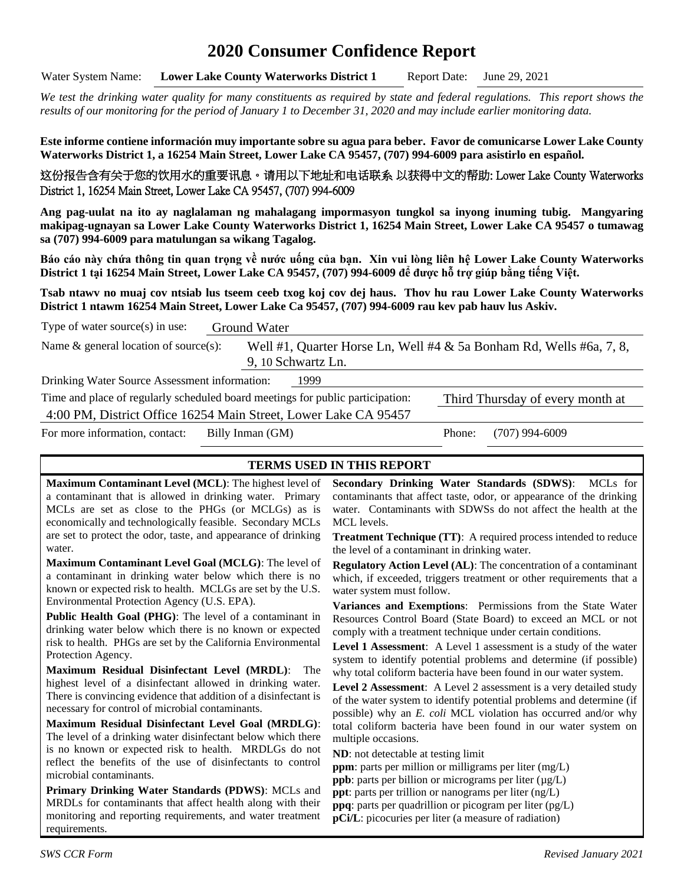# **2020 Consumer Confidence Report**

Water System Name: **Lower Lake County Waterworks District 1** Report Date: June 29, 2021

*We test the drinking water quality for many constituents as required by state and federal regulations. This report shows the results of our monitoring for the period of January 1 to December 31, 2020 and may include earlier monitoring data.*

**Este informe contiene información muy importante sobre su agua para beber. Favor de comunicarse Lower Lake County Waterworks District 1, a 16254 Main Street, Lower Lake CA 95457, (707) 994-6009 para asistirlo en español.**

这份报告含有关于您的饮用水的重要讯息。请用以下地址和电话联系 以获得中文的帮助: Lower Lake County Waterworks District 1, 16254 Main Street, Lower Lake CA 95457, (707) 994-6009

**Ang pag-uulat na ito ay naglalaman ng mahalagang impormasyon tungkol sa inyong inuming tubig. Mangyaring makipag-ugnayan sa Lower Lake County Waterworks District 1, 16254 Main Street, Lower Lake CA 95457 o tumawag sa (707) 994-6009 para matulungan sa wikang Tagalog.**

**Báo cáo này chứa thông tin quan trọng về nước uống của bạn. Xin vui lòng liên hệ Lower Lake County Waterworks District 1 tại 16254 Main Street, Lower Lake CA 95457, (707) 994-6009 để được hỗ trợ giúp bằng tiếng Việt.**

**Tsab ntawv no muaj cov ntsiab lus tseem ceeb txog koj cov dej haus. Thov hu rau Lower Lake County Waterworks District 1 ntawm 16254 Main Street, Lower Lake Ca 95457, (707) 994-6009 rau kev pab hauv lus Askiv.**

| Type of water source $(s)$ in use:                                             | Ground Water       |                                                                     |
|--------------------------------------------------------------------------------|--------------------|---------------------------------------------------------------------|
| Name $\&$ general location of source(s):                                       | 9, 10 Schwartz Ln. | Well #1, Quarter Horse Ln, Well #4 & 5a Bonham Rd, Wells #6a, 7, 8, |
| Drinking Water Source Assessment information:                                  | 1999               |                                                                     |
| Time and place of regularly scheduled board meetings for public participation: |                    | Third Thursday of every month at                                    |
| 4:00 PM, District Office 16254 Main Street, Lower Lake CA 95457                |                    |                                                                     |
| For more information, contact:                                                 | Billy Inman (GM)   | (707) 994-6009<br>Phone:                                            |

#### **TERMS USED IN THIS REPORT**

**Maximum Contaminant Level (MCL)**: The highest level of a contaminant that is allowed in drinking water. Primary MCLs are set as close to the PHGs (or MCLGs) as is economically and technologically feasible. Secondary MCLs are set to protect the odor, taste, and appearance of drinking water.

**Maximum Contaminant Level Goal (MCLG)**: The level of a contaminant in drinking water below which there is no known or expected risk to health. MCLGs are set by the U.S. Environmental Protection Agency (U.S. EPA).

**Public Health Goal (PHG)**: The level of a contaminant in drinking water below which there is no known or expected risk to health. PHGs are set by the California Environmental Protection Agency.

**Maximum Residual Disinfectant Level (MRDL)**: The highest level of a disinfectant allowed in drinking water. There is convincing evidence that addition of a disinfectant is necessary for control of microbial contaminants.

**Maximum Residual Disinfectant Level Goal (MRDLG)**: The level of a drinking water disinfectant below which there is no known or expected risk to health. MRDLGs do not reflect the benefits of the use of disinfectants to control microbial contaminants.

**Primary Drinking Water Standards (PDWS)**: MCLs and MRDLs for contaminants that affect health along with their monitoring and reporting requirements, and water treatment requirements.

**Secondary Drinking Water Standards (SDWS)**:MCLs for contaminants that affect taste, odor, or appearance of the drinking water. Contaminants with SDWSs do not affect the health at the MCL levels.

**Treatment Technique (TT)**: A required process intended to reduce the level of a contaminant in drinking water.

**Regulatory Action Level (AL)**: The concentration of a contaminant which, if exceeded, triggers treatment or other requirements that a water system must follow.

**Variances and Exemptions**: Permissions from the State Water Resources Control Board (State Board) to exceed an MCL or not comply with a treatment technique under certain conditions.

**Level 1 Assessment**: A Level 1 assessment is a study of the water system to identify potential problems and determine (if possible) why total coliform bacteria have been found in our water system.

**Level 2 Assessment**: A Level 2 assessment is a very detailed study of the water system to identify potential problems and determine (if possible) why an *E. coli* MCL violation has occurred and/or why total coliform bacteria have been found in our water system on multiple occasions.

**ND**: not detectable at testing limit

**ppm**: parts per million or milligrams per liter (mg/L)

**ppb**: parts per billion or micrograms per liter ( $\mu$ g/L)

**ppt**: parts per trillion or nanograms per liter (ng/L)

**ppq**: parts per quadrillion or picogram per liter (pg/L) **pCi/L**: picocuries per liter (a measure of radiation)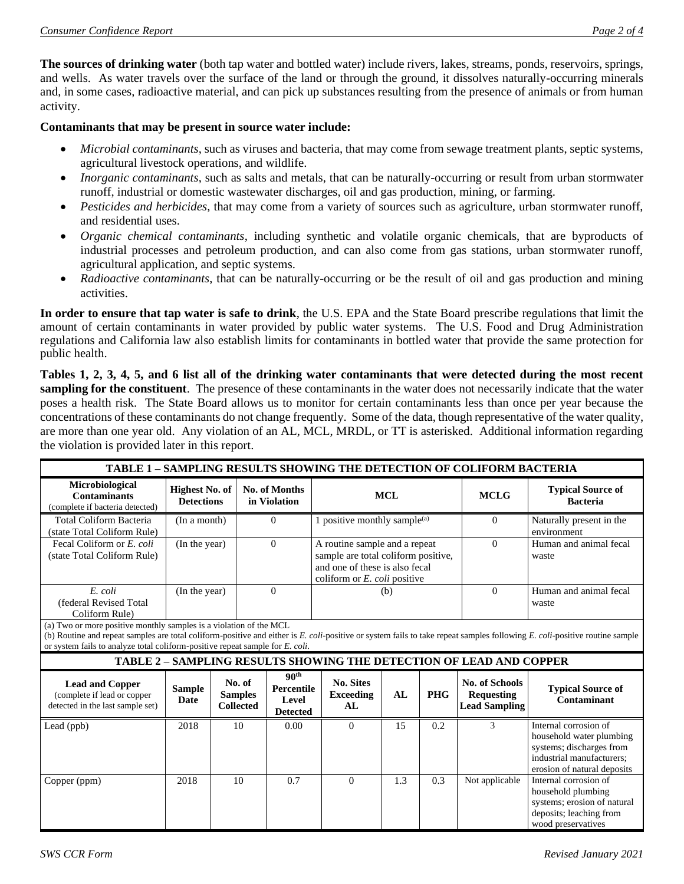**The sources of drinking water** (both tap water and bottled water) include rivers, lakes, streams, ponds, reservoirs, springs, and wells. As water travels over the surface of the land or through the ground, it dissolves naturally-occurring minerals and, in some cases, radioactive material, and can pick up substances resulting from the presence of animals or from human activity.

#### **Contaminants that may be present in source water include:**

- *Microbial contaminants*, such as viruses and bacteria, that may come from sewage treatment plants, septic systems, agricultural livestock operations, and wildlife.
- *Inorganic contaminants*, such as salts and metals, that can be naturally-occurring or result from urban stormwater runoff, industrial or domestic wastewater discharges, oil and gas production, mining, or farming.
- *Pesticides and herbicides*, that may come from a variety of sources such as agriculture, urban stormwater runoff, and residential uses.
- *Organic chemical contaminants*, including synthetic and volatile organic chemicals, that are byproducts of industrial processes and petroleum production, and can also come from gas stations, urban stormwater runoff, agricultural application, and septic systems.
- *Radioactive contaminants*, that can be naturally-occurring or be the result of oil and gas production and mining activities.

**In order to ensure that tap water is safe to drink**, the U.S. EPA and the State Board prescribe regulations that limit the amount of certain contaminants in water provided by public water systems. The U.S. Food and Drug Administration regulations and California law also establish limits for contaminants in bottled water that provide the same protection for public health.

**Tables 1, 2, 3, 4, 5, and 6 list all of the drinking water contaminants that were detected during the most recent sampling for the constituent**. The presence of these contaminants in the water does not necessarily indicate that the water poses a health risk. The State Board allows us to monitor for certain contaminants less than once per year because the concentrations of these contaminants do not change frequently. Some of the data, though representative of the water quality, are more than one year old. Any violation of an AL, MCL, MRDL, or TT is asterisked. Additional information regarding the violation is provided later in this report.

| <b>TABLE 1 - SAMPLING RESULTS SHOWING THE DETECTION OF COLIFORM BACTERIA</b>                                                                                                                                                                                                                                                      |                                            |                          |                                      |                                                                   |                                                                                                                                                  |     |            |                                                                     |                                                                                                                                           |
|-----------------------------------------------------------------------------------------------------------------------------------------------------------------------------------------------------------------------------------------------------------------------------------------------------------------------------------|--------------------------------------------|--------------------------|--------------------------------------|-------------------------------------------------------------------|--------------------------------------------------------------------------------------------------------------------------------------------------|-----|------------|---------------------------------------------------------------------|-------------------------------------------------------------------------------------------------------------------------------------------|
| Microbiological<br><b>Contaminants</b><br>(complete if bacteria detected)                                                                                                                                                                                                                                                         | <b>Highest No. of</b><br><b>Detections</b> |                          | <b>No. of Months</b><br>in Violation |                                                                   | <b>MCL</b>                                                                                                                                       |     |            | <b>MCLG</b>                                                         | <b>Typical Source of</b><br><b>Bacteria</b>                                                                                               |
| Total Coliform Bacteria<br>(state Total Coliform Rule)                                                                                                                                                                                                                                                                            |                                            | (In a month)             |                                      | $\Omega$                                                          | 1 positive monthly sample $^{(a)}$                                                                                                               |     |            | $\overline{0}$                                                      | Naturally present in the<br>environment                                                                                                   |
| Fecal Coliform or E. coli<br>(state Total Coliform Rule)                                                                                                                                                                                                                                                                          | (In the year)                              |                          | $\Omega$                             |                                                                   | A routine sample and a repeat<br>sample are total coliform positive,<br>and one of these is also fecal<br>coliform or $E$ , <i>coli</i> positive |     | $\Omega$   | Human and animal fecal<br>waste                                     |                                                                                                                                           |
| E. coli<br>(federal Revised Total<br>Coliform Rule)                                                                                                                                                                                                                                                                               | (In the year)                              |                          | $\Omega$                             |                                                                   | (b)                                                                                                                                              |     | $\Omega$   | Human and animal fecal<br>waste                                     |                                                                                                                                           |
| (a) Two or more positive monthly samples is a violation of the MCL<br>(b) Routine and repeat samples are total coliform-positive and either is E. coli-positive or system fails to take repeat samples following E. coli-positive routine sample<br>or system fails to analyze total coliform-positive repeat sample for E. coli. |                                            |                          |                                      |                                                                   |                                                                                                                                                  |     |            |                                                                     |                                                                                                                                           |
|                                                                                                                                                                                                                                                                                                                                   |                                            |                          |                                      |                                                                   |                                                                                                                                                  |     |            | TABLE 2 - SAMPLING RESULTS SHOWING THE DETECTION OF LEAD AND COPPER |                                                                                                                                           |
| <b>Lead and Copper</b><br>(complete if lead or copper<br>detected in the last sample set)                                                                                                                                                                                                                                         | <b>Sample</b><br><b>Date</b>               | No. of<br><b>Samples</b> | <b>Collected</b>                     | 90 <sup>th</sup><br><b>Percentile</b><br>Level<br><b>Detected</b> | <b>No. Sites</b><br><b>Exceeding</b><br>AI.                                                                                                      | AL  | <b>PHG</b> | No. of Schools<br><b>Requesting</b><br><b>Lead Sampling</b>         | <b>Typical Source of</b><br>Contaminant                                                                                                   |
| Lead (ppb)                                                                                                                                                                                                                                                                                                                        | 2018                                       |                          | 10                                   | 0.00                                                              | $\Omega$                                                                                                                                         | 15  | 0.2        | 3                                                                   | Internal corrosion of<br>household water plumbing<br>systems; discharges from<br>industrial manufacturers:<br>erosion of natural deposits |
| Copper (ppm)                                                                                                                                                                                                                                                                                                                      | 2018                                       |                          | 10                                   | 0.7                                                               | $\Omega$                                                                                                                                         | 1.3 | 0.3        | Not applicable                                                      | Internal corrosion of<br>household plumbing<br>systems; erosion of natural<br>deposits; leaching from<br>wood preservatives               |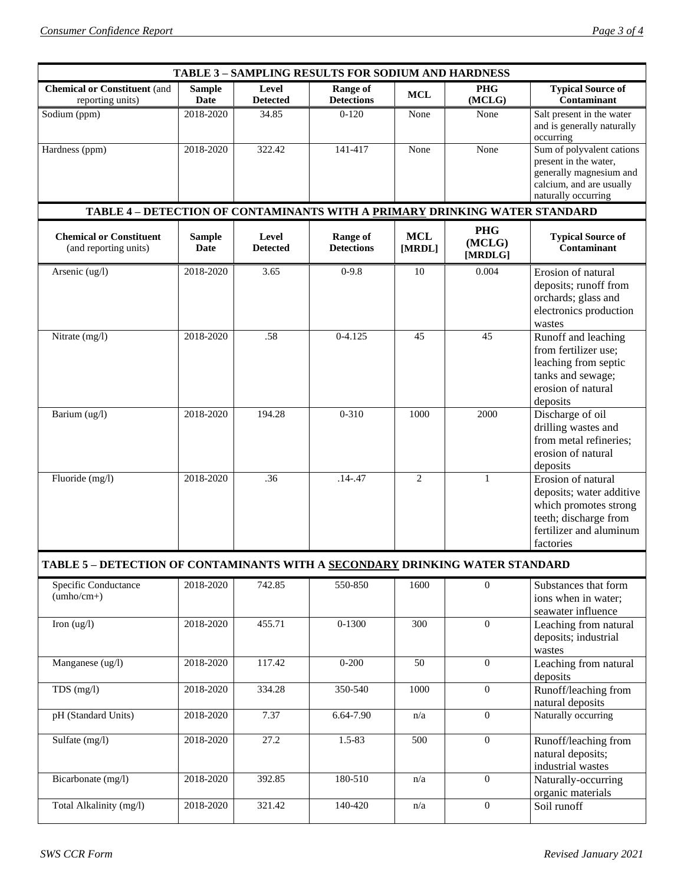| <b>TABLE 3 - SAMPLING RESULTS FOR SODIUM AND HARDNESS</b>                  |                                                                                     |                          |                               |                         |                                 |                                                                                                                                          |  |  |  |
|----------------------------------------------------------------------------|-------------------------------------------------------------------------------------|--------------------------|-------------------------------|-------------------------|---------------------------------|------------------------------------------------------------------------------------------------------------------------------------------|--|--|--|
| <b>Chemical or Constituent (and</b>                                        | <b>Sample</b>                                                                       | Level                    | <b>Range of</b>               | <b>MCL</b>              | <b>PHG</b>                      | <b>Typical Source of</b>                                                                                                                 |  |  |  |
| reporting units)                                                           | <b>Date</b>                                                                         | <b>Detected</b>          | <b>Detections</b>             |                         | (MCLG)                          | Contaminant                                                                                                                              |  |  |  |
| Sodium (ppm)                                                               | 2018-2020                                                                           | 34.85                    | $0 - 120$                     | None                    | None                            | Salt present in the water<br>and is generally naturally<br>occurring                                                                     |  |  |  |
| Hardness (ppm)                                                             | 2018-2020                                                                           | 322.42                   | 141-417                       | None                    | None                            | Sum of polyvalent cations<br>present in the water,<br>generally magnesium and<br>calcium, and are usually<br>naturally occurring         |  |  |  |
| TABLE 4 - DETECTION OF CONTAMINANTS WITH A PRIMARY DRINKING WATER STANDARD |                                                                                     |                          |                               |                         |                                 |                                                                                                                                          |  |  |  |
| <b>Chemical or Constituent</b><br>(and reporting units)                    | <b>Sample</b><br>Date                                                               | Level<br><b>Detected</b> | Range of<br><b>Detections</b> | <b>MCL</b><br>[MRDL]    | <b>PHG</b><br>(MCLG)<br>[MRDLG] | <b>Typical Source of</b><br>Contaminant                                                                                                  |  |  |  |
| Arsenic (ug/l)                                                             | 2018-2020                                                                           | 3.65                     | $0-9.8$                       | 10                      | 0.004                           | Erosion of natural<br>deposits; runoff from<br>orchards; glass and<br>electronics production<br>wastes                                   |  |  |  |
| Nitrate (mg/l)                                                             | 2018-2020                                                                           | .58                      | $0 - 4.125$                   | 45                      | 45                              | Runoff and leaching<br>from fertilizer use;<br>leaching from septic<br>tanks and sewage;<br>erosion of natural<br>deposits               |  |  |  |
| Barium (ug/l)                                                              | 2018-2020                                                                           | 194.28                   | $0 - 310$                     | 1000                    | 2000                            | Discharge of oil<br>drilling wastes and<br>from metal refineries;<br>erosion of natural<br>deposits                                      |  |  |  |
| Fluoride (mg/l)                                                            | 2018-2020                                                                           | .36                      | $.14 - .47$                   | $\overline{2}$          | $\mathbf{1}$                    | Erosion of natural<br>deposits; water additive<br>which promotes strong<br>teeth; discharge from<br>fertilizer and aluminum<br>factories |  |  |  |
|                                                                            | TABLE 5 – DETECTION OF CONTAMINANTS WITH A <u>SECONDARY</u> DRINKING WATER STANDARD |                          |                               |                         |                                 |                                                                                                                                          |  |  |  |
| <b>Specific Conductance</b><br>$(umbo/cm+)$                                | 2018-2020                                                                           | 742.85                   | 550-850                       | 1600                    | $\overline{0}$                  | Substances that form<br>ions when in water;<br>seawater influence                                                                        |  |  |  |
| Iron $(ug/l)$                                                              | 2018-2020                                                                           | 455.71                   | $0 - 1300$                    | 300                     | $\overline{0}$                  | Leaching from natural<br>deposits; industrial<br>wastes                                                                                  |  |  |  |
| Manganese (ug/l)                                                           | 2018-2020                                                                           | 117.42                   | $0 - 200$                     | 50                      | $\mathbf{0}$                    | Leaching from natural<br>deposits                                                                                                        |  |  |  |
| TDS $(mg/l)$                                                               | 2018-2020                                                                           | 334.28                   | 350-540                       | 1000                    | $\mathbf{0}$                    | Runoff/leaching from<br>natural deposits                                                                                                 |  |  |  |
| pH (Standard Units)                                                        | 2018-2020                                                                           | 7.37                     | 6.64-7.90                     | $\mathrm{n}/\mathrm{a}$ | $\overline{0}$                  | Naturally occurring                                                                                                                      |  |  |  |
| Sulfate (mg/l)                                                             | 2018-2020                                                                           | 27.2                     | 1.5-83                        | 500                     | $\overline{0}$                  | Runoff/leaching from<br>natural deposits;<br>industrial wastes                                                                           |  |  |  |
| Bicarbonate (mg/l)                                                         | 2018-2020                                                                           | 392.85                   | 180-510                       | n/a                     | $\boldsymbol{0}$                | Naturally-occurring<br>organic materials                                                                                                 |  |  |  |
| Total Alkalinity (mg/l)                                                    | 2018-2020                                                                           | 321.42                   | 140-420                       | n/a                     | $\overline{0}$                  | Soil runoff                                                                                                                              |  |  |  |